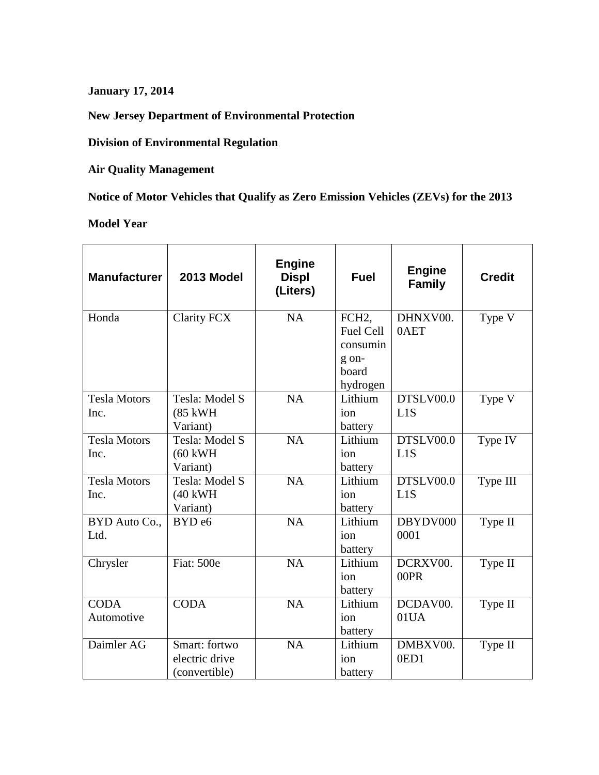**January 17, 2014**

**New Jersey Department of Environmental Protection**

**Division of Environmental Regulation**

**Air Quality Management**

**Notice of Motor Vehicles that Qualify as Zero Emission Vehicles (ZEVs) for the 2013**

**Model Year**

| <b>Manufacturer</b>         | 2013 Model                                       | <b>Engine</b><br><b>Displ</b><br>(Liters) | <b>Fuel</b>                                                                    | <b>Engine</b><br><b>Family</b> | <b>Credit</b> |
|-----------------------------|--------------------------------------------------|-------------------------------------------|--------------------------------------------------------------------------------|--------------------------------|---------------|
| Honda                       | <b>Clarity FCX</b>                               | <b>NA</b>                                 | FCH <sub>2</sub><br><b>Fuel Cell</b><br>consumin<br>g on-<br>board<br>hydrogen | DHNXV00.<br>0AET               | Type V        |
| <b>Tesla Motors</b><br>Inc. | Tesla: Model S<br>(85 kWH<br>Variant)            | NA                                        | Lithium<br>ion<br>battery                                                      | DTSLV00.0<br>L1S               | Type V        |
| <b>Tesla Motors</b><br>Inc. | Tesla: Model S<br>$(60 \text{ kWh})$<br>Variant) | NA                                        | Lithium<br>ion<br>battery                                                      | DTSLV00.0<br>L1S               | Type IV       |
| <b>Tesla Motors</b><br>Inc. | Tesla: Model S<br>(40 kWH<br>Variant)            | <b>NA</b>                                 | Lithium<br>ion<br>battery                                                      | DTSLV00.0<br>L1S               | Type III      |
| BYD Auto Co.,<br>Ltd.       | BYD <sub>e6</sub>                                | NA                                        | Lithium<br>ion<br>battery                                                      | DBYDV000<br>0001               | Type II       |
| Chrysler                    | <b>Fiat: 500e</b>                                | <b>NA</b>                                 | Lithium<br>ion<br>battery                                                      | DCRXV00.<br>00PR               | Type II       |
| <b>CODA</b><br>Automotive   | <b>CODA</b>                                      | <b>NA</b>                                 | Lithium<br>ion<br>battery                                                      | DCDAV00.<br>01UA               | Type II       |
| Daimler AG                  | Smart: fortwo<br>electric drive<br>(convertible) | <b>NA</b>                                 | Lithium<br>ion<br>battery                                                      | DMBXV00.<br>0ED1               | Type II       |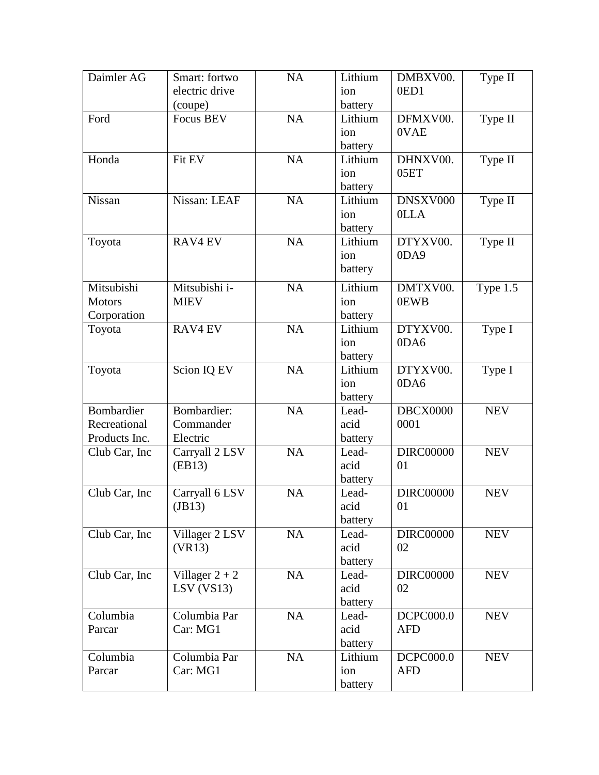| electric drive<br>0ED1<br>ion<br>(coupe)<br>battery<br>Focus BEV<br><b>NA</b><br>Type II<br>Ford<br>DFMXV00.<br>Lithium<br>0VAE<br>ion<br>battery<br>Fit EV<br>NA<br>Type II<br>Honda<br>Lithium<br>DHNXV00.<br>05ET<br>ion<br>battery<br>Nissan: LEAF<br>Type II<br>Nissan<br><b>NA</b><br>DNSXV000<br>Lithium<br><b>OLLA</b><br>ion<br>battery<br>RAV4 EV<br>Type $\overline{II}$<br>NA<br>Lithium<br>DTYXV00.<br>Toyota<br>0DA9<br>ion |
|-------------------------------------------------------------------------------------------------------------------------------------------------------------------------------------------------------------------------------------------------------------------------------------------------------------------------------------------------------------------------------------------------------------------------------------------|
|                                                                                                                                                                                                                                                                                                                                                                                                                                           |
|                                                                                                                                                                                                                                                                                                                                                                                                                                           |
|                                                                                                                                                                                                                                                                                                                                                                                                                                           |
|                                                                                                                                                                                                                                                                                                                                                                                                                                           |
|                                                                                                                                                                                                                                                                                                                                                                                                                                           |
|                                                                                                                                                                                                                                                                                                                                                                                                                                           |
|                                                                                                                                                                                                                                                                                                                                                                                                                                           |
|                                                                                                                                                                                                                                                                                                                                                                                                                                           |
|                                                                                                                                                                                                                                                                                                                                                                                                                                           |
|                                                                                                                                                                                                                                                                                                                                                                                                                                           |
|                                                                                                                                                                                                                                                                                                                                                                                                                                           |
|                                                                                                                                                                                                                                                                                                                                                                                                                                           |
|                                                                                                                                                                                                                                                                                                                                                                                                                                           |
| battery                                                                                                                                                                                                                                                                                                                                                                                                                                   |
| Mitsubishi i-<br>Mitsubishi<br>NA<br>Type $1.\overline{5}$<br>Lithium<br>DMTXV00.                                                                                                                                                                                                                                                                                                                                                         |
| 0EWB<br><b>Motors</b><br><b>MIEV</b><br>ion                                                                                                                                                                                                                                                                                                                                                                                               |
| Corporation<br>battery                                                                                                                                                                                                                                                                                                                                                                                                                    |
| <b>RAV4 EV</b><br>NA<br>DTYXV00.<br>Lithium<br>Type I<br>Toyota                                                                                                                                                                                                                                                                                                                                                                           |
| 0DA6<br>ion                                                                                                                                                                                                                                                                                                                                                                                                                               |
| battery                                                                                                                                                                                                                                                                                                                                                                                                                                   |
| Scion IQ EV<br>NA<br>Lithium<br>DTYXV00.<br>Type I<br>Toyota                                                                                                                                                                                                                                                                                                                                                                              |
| 0DA6<br>ion                                                                                                                                                                                                                                                                                                                                                                                                                               |
| battery                                                                                                                                                                                                                                                                                                                                                                                                                                   |
| Bombardier<br>Bombardier:<br><b>NA</b><br>DBCX0000<br><b>NEV</b><br>Lead-                                                                                                                                                                                                                                                                                                                                                                 |
| Recreational<br>0001<br>Commander<br>acid                                                                                                                                                                                                                                                                                                                                                                                                 |
| Electric<br>Products Inc.<br>battery                                                                                                                                                                                                                                                                                                                                                                                                      |
| NA<br><b>DIRC00000</b><br><b>NEV</b><br>Carryall 2 LSV<br>Club Car, Inc<br>Lead-                                                                                                                                                                                                                                                                                                                                                          |
| (EB13)<br>acid<br>01                                                                                                                                                                                                                                                                                                                                                                                                                      |
| battery                                                                                                                                                                                                                                                                                                                                                                                                                                   |
| <b>NA</b><br><b>DIRC00000</b><br>Club Car, Inc<br>Carryall 6 LSV<br>Lead-<br><b>NEV</b>                                                                                                                                                                                                                                                                                                                                                   |
| $(JB13)$<br>01<br>acid                                                                                                                                                                                                                                                                                                                                                                                                                    |
| battery                                                                                                                                                                                                                                                                                                                                                                                                                                   |
| Villager 2 LSV<br>NA<br>Club Car, Inc<br><b>DIRC00000</b><br><b>NEV</b><br>Lead-                                                                                                                                                                                                                                                                                                                                                          |
| 02<br>(VR13)<br>acid                                                                                                                                                                                                                                                                                                                                                                                                                      |
| battery                                                                                                                                                                                                                                                                                                                                                                                                                                   |
| Club Car, Inc<br>Villager $2 + 2$<br>NA<br><b>DIRC00000</b><br><b>NEV</b><br>Lead-                                                                                                                                                                                                                                                                                                                                                        |
| LSV (VS13)<br>acid<br>02                                                                                                                                                                                                                                                                                                                                                                                                                  |
| battery                                                                                                                                                                                                                                                                                                                                                                                                                                   |
| Columbia<br>Columbia Par<br>NA<br><b>DCPC000.0</b><br><b>NEV</b><br>Lead-                                                                                                                                                                                                                                                                                                                                                                 |
| Car: MG1<br>Parcar<br>acid<br><b>AFD</b>                                                                                                                                                                                                                                                                                                                                                                                                  |
| battery                                                                                                                                                                                                                                                                                                                                                                                                                                   |
| Columbia<br>Columbia Par<br>NA<br>Lithium<br><b>DCPC000.0</b><br><b>NEV</b>                                                                                                                                                                                                                                                                                                                                                               |
| Car: MG1<br><b>AFD</b><br>Parcar<br>ion                                                                                                                                                                                                                                                                                                                                                                                                   |
| battery                                                                                                                                                                                                                                                                                                                                                                                                                                   |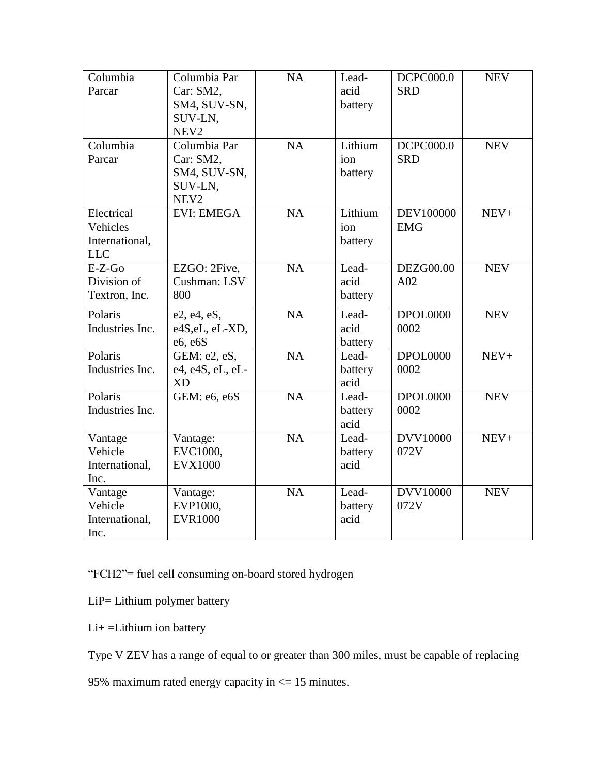| Columbia        | Columbia Par                | <b>NA</b> | Lead-   | <b>DCPC000.0</b> | <b>NEV</b> |
|-----------------|-----------------------------|-----------|---------|------------------|------------|
| Parcar          | Car: SM2,                   |           | acid    | <b>SRD</b>       |            |
|                 | SM4, SUV-SN,                |           | battery |                  |            |
|                 | SUV-LN,                     |           |         |                  |            |
|                 | NEV <sub>2</sub>            |           |         |                  |            |
| Columbia        | Columbia Par                | NA        | Lithium | <b>DCPC000.0</b> | <b>NEV</b> |
| Parcar          | Car: SM2,                   |           | ion     | <b>SRD</b>       |            |
|                 | SM4, SUV-SN,                |           | battery |                  |            |
|                 | SUV-LN,<br>NEV <sub>2</sub> |           |         |                  |            |
| Electrical      | <b>EVI: EMEGA</b>           | <b>NA</b> | Lithium | DEV100000        | $NEV+$     |
| Vehicles        |                             |           | ion     | <b>EMG</b>       |            |
| International,  |                             |           | battery |                  |            |
| <b>LLC</b>      |                             |           |         |                  |            |
| $E-Z-Go$        | EZGO: 2Five,                | NA        | Lead-   | <b>DEZG00.00</b> | <b>NEV</b> |
| Division of     | Cushman: LSV                |           | acid    | A02              |            |
| Textron, Inc.   | 800                         |           | battery |                  |            |
| Polaris         | e2, e4, eS,                 | NA        | Lead-   | DPOL0000         | <b>NEV</b> |
| Industries Inc. | e4S, eL, eL-XD,             |           | acid    | 0002             |            |
|                 | e6, e6S                     |           | battery |                  |            |
| Polaris         | GEM: e2, eS,                | NA        | Lead-   | <b>DPOL0000</b>  | $NEV+$     |
| Industries Inc. | e4, e4S, eL, eL-            |           | battery | 0002             |            |
|                 | <b>XD</b>                   |           | acid    |                  |            |
| Polaris         | GEM: e6, e6S                | NA        | Lead-   | <b>DPOL0000</b>  | <b>NEV</b> |
| Industries Inc. |                             |           | battery | 0002             |            |
|                 |                             |           | acid    |                  |            |
| Vantage         | Vantage:                    | NA        | Lead-   | <b>DVV10000</b>  | $NEV+$     |
| Vehicle         | EVC1000,                    |           | battery | 072V             |            |
| International,  | <b>EVX1000</b>              |           | acid    |                  |            |
| Inc.            |                             |           |         |                  |            |
| Vantage         | Vantage:                    | NA        | Lead-   | <b>DVV10000</b>  | <b>NEV</b> |
| Vehicle         | EVP1000,                    |           | battery | 072V             |            |
| International,  | <b>EVR1000</b>              |           | acid    |                  |            |
| Inc.            |                             |           |         |                  |            |

"FCH2"= fuel cell consuming on-board stored hydrogen

LiP= Lithium polymer battery

Li+ =Lithium ion battery

Type V ZEV has a range of equal to or greater than 300 miles, must be capable of replacing

95% maximum rated energy capacity in <= 15 minutes.